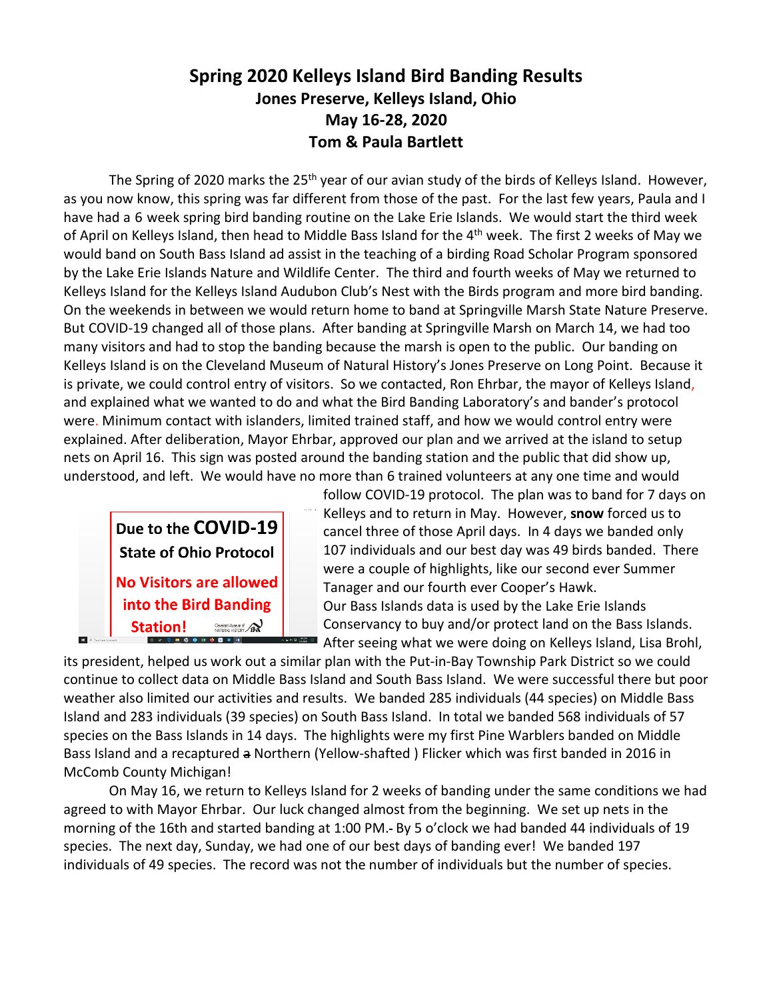# **Spring 2020 Kelleys Island Bird Banding Results Jones Preserve, Kelleys Island, Ohio May 16-28, 2020 Tom & Paula Bartlett**

The Spring of 2020 marks the 25<sup>th</sup> year of our avian study of the birds of Kelleys Island. However, as you now know, this spring was far different from those of the past. For the last few years, Paula and I have had a 6 week spring bird banding routine on the Lake Erie Islands. We would start the third week of April on Kelleys Island, then head to Middle Bass Island for the 4<sup>th</sup> week. The first 2 weeks of May we would band on South Bass Island ad assist in the teaching of a birding Road Scholar Program sponsored by the Lake Erie Islands Nature and Wildlife Center. The third and fourth weeks of May we returned to Kelleys Island for the Kelleys Island Audubon Club's Nest with the Birds program and more bird banding. On the weekends in between we would return home to band at Springville Marsh State Nature Preserve. But COVID-19 changed all of those plans. After banding at Springville Marsh on March 14, we had too many visitors and had to stop the banding because the marsh is open to the public. Our banding on Kelleys Island is on the Cleveland Museum of Natural History's Jones Preserve on Long Point. Because it is private, we could control entry of visitors. So we contacted, Ron Ehrbar, the mayor of Kelleys Island, and explained what we wanted to do and what the Bird Banding Laboratory's and bander's protocol were. Minimum contact with islanders, limited trained staff, and how we would control entry were explained. After deliberation, Mayor Ehrbar, approved our plan and we arrived at the island to setup nets on April 16. This sign was posted around the banding station and the public that did show up, understood, and left. We would have no more than 6 trained volunteers at any one time and would



follow COVID-19 protocol. The plan was to band for 7 days on Kelleys and to return in May. However, **snow** forced us to cancel three of those April days. In 4 days we banded only 107 individuals and our best day was 49 birds banded. There were a couple of highlights, like our second ever Summer Tanager and our fourth ever Cooper's Hawk. Our Bass Islands data is used by the Lake Erie Islands Conservancy to buy and/or protect land on the Bass Islands. After seeing what we were doing on Kelleys Island, Lisa Brohl,

its president, helped us work out a similar plan with the Put-in-Bay Township Park District so we could continue to collect data on Middle Bass Island and South Bass Island. We were successful there but poor weather also limited our activities and results. We banded 285 individuals (44 species) on Middle Bass Island and 283 individuals (39 species) on South Bass Island. In total we banded 568 individuals of 57 species on the Bass Islands in 14 days. The highlights were my first Pine Warblers banded on Middle Bass Island and a recaptured a Northern (Yellow-shafted ) Flicker which was first banded in 2016 in McComb County Michigan!

On May 16, we return to Kelleys Island for 2 weeks of banding under the same conditions we had agreed to with Mayor Ehrbar. Our luck changed almost from the beginning. We set up nets in the morning of the 16th and started banding at 1:00 PM.- By 5 o'clock we had banded 44 individuals of 19 species. The next day, Sunday, we had one of our best days of banding ever! We banded 197 individuals of 49 species. The record was not the number of individuals but the number of species.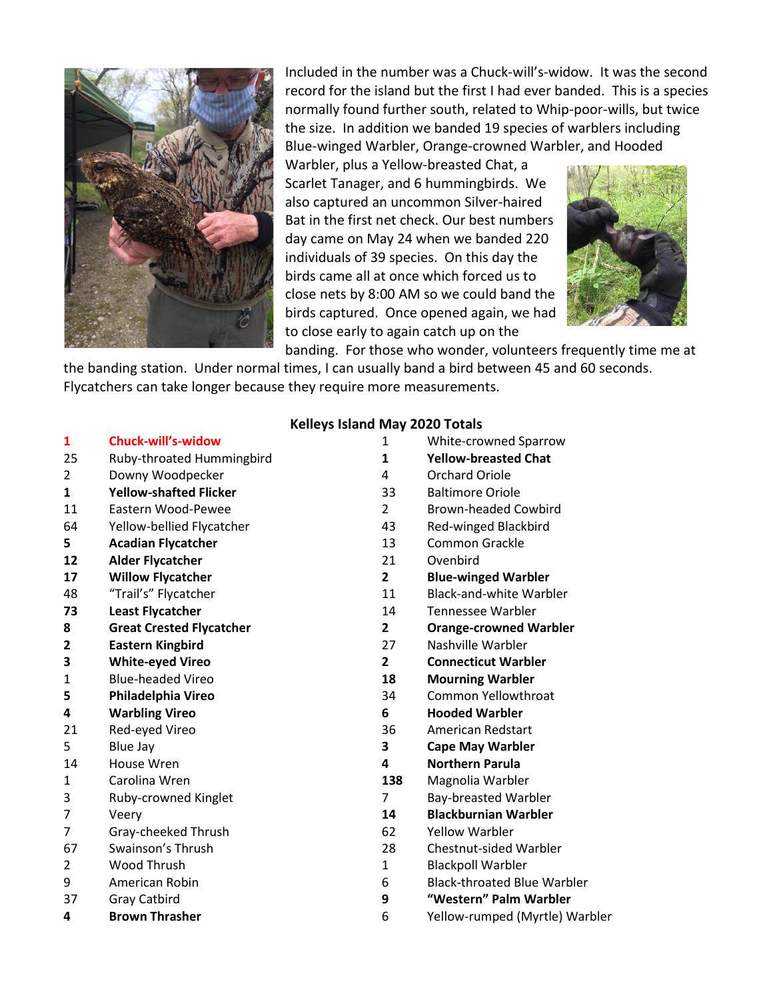

Included in the number was a Chuck-will's-widow. It was the second record for the island but the first I had ever banded. This is a species normally found further south, related to Whip-poor-wills, but twice the size. In addition we banded 19 species of warblers including Blue-winged Warbler, Orange-crowned Warbler, and Hooded

Warbler, plus a Yellow-breasted Chat, a Scarlet Tanager, and 6 hummingbirds. We also captured an uncommon Silver-haired Bat in the first net check. Our best numbers day came on May 24 when we banded 220 individuals of 39 species. On this day the birds came all at once which forced us to close nets by 8:00 AM so we could band the birds captured. Once opened again, we had to close early to again catch up on the



banding. For those who wonder, volunteers frequently time me at the banding station. Under normal times, I can usually band a bird between 45 and 60 seconds. Flycatchers can take longer because they require more measurements.

#### **Kelleys Island May 2020 Totals**

- 25 Ruby-throated Hummingbird **1 Yellow-breasted Chat**
- 2 Downy Woodpecker 1986 1997 10 AM 2 Orchard Oriole
- **1 Yellow-shafted Flicker** 33 Baltimore Oriole
- 
- 
- **12 Alder Flycatcher** 21 Ovenbird
- 
- 
- 
- 
- 
- 
- 
- 
- 
- 
- 
- 
- 
- 
- 
- 7 Gray-cheeked Thrush 62 Yellow Warbler
- 
- 
- 
- 
- 
- **1 Chuck-will's-widow** 1 White-crowned Sparrow
	-
	-
	-
- 11 Eastern Wood-Pewee 2 Brown-headed Cowbird
- 64 Yellow-bellied Flycatcher 43 Red-winged Blackbird
- **5 Acadian Flycatcher** 13 Common Grackle
	-
- **17 Willow Flycatcher 2 Blue-winged Warbler**
- 48 "Trail's" Flycatcher 11 Black-and-white Warbler
- **73 Least Flycatcher** 14 Tennessee Warbler
- **8 Great Crested Flycatcher 2 Orange-crowned Warbler**
- **2 Eastern Kingbird** 27 Nashville Warbler
- **3 White-eyed Vireo 2 Connecticut Warbler**
- 1 Blue-headed Vireo **18 Mourning Warbler**
- **5 Philadelphia Vireo** 34 Common Yellowthroat
- **4 Warbling Vireo 6 Hooded Warbler**
- 21 Red-eyed Vireo 36 American Redstart
- 5 Blue Jay **3 Cape May Warbler**
- 14 House Wren **4 Northern Parula**
- 1 Carolina Wren **138** Magnolia Warbler
- 3 Ruby-crowned Kinglet 7 Bay-breasted Warbler
- 7 Veery **14 Blackburnian Warbler**
	-
- 67 Swainson's Thrush 28 Chestnut-sided Warbler
- 2 Wood Thrush 1 Blackpoll Warbler
- 9 American Robin 6 Black-throated Blue Warbler
- 37 Gray Catbird **9 "Western" Palm Warbler**
- **4 Brown Thrasher** 6 Yellow-rumped (Myrtle) Warbler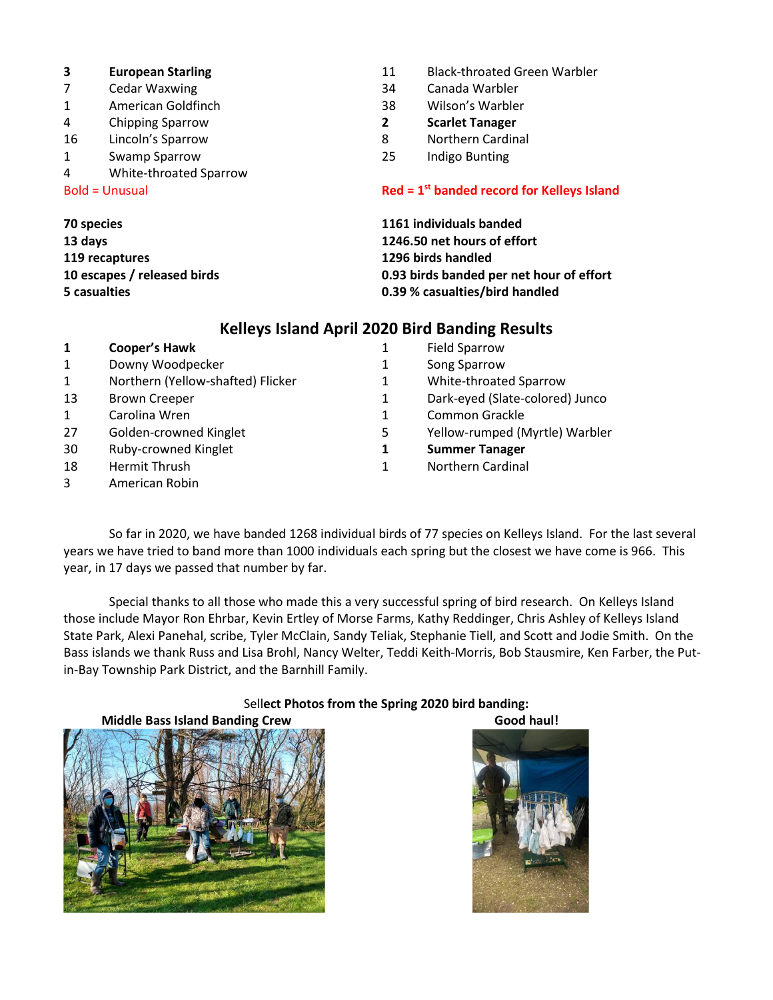- 
- Cedar Waxwing 34 Canada Warbler
- American Goldfinch 38 Wilson's Warbler
- Chipping Sparrow **2 Scarlet Tanager**
- Lincoln's Sparrow 8 Northern Cardinal
- Swamp Sparrow 25 Indigo Bunting
- White-throated Sparrow

 $B$ old = Unusual

**recaptures 1296 birds handled**

- **European Starling** 11 Black-throated Green Warbler
	-
	-
	-
	-
	-

### **st banded record for Kelleys Island**

 **species 1161 individuals banded days 1246.50 net hours of effort escapes / released birds 0.93 birds banded per net hour of effort casualties 0.39 % casualties/bird handled**

## **Kelleys Island April 2020 Bird Banding Results**

| 1  | <b>Cooper's Hawk</b>              | 1 | <b>Field Sparrow</b>            |
|----|-----------------------------------|---|---------------------------------|
| 1  | Downy Woodpecker                  | 1 | Song Sparrow                    |
| 1  | Northern (Yellow-shafted) Flicker | 1 | White-throated Sparrow          |
| 13 | <b>Brown Creeper</b>              | 1 | Dark-eyed (Slate-colored) Junco |
| 1  | Carolina Wren                     | 1 | Common Grackle                  |
| 27 | Golden-crowned Kinglet            | 5 | Yellow-rumped (Myrtle) Warbler  |
| 30 | Ruby-crowned Kinglet              | 1 | <b>Summer Tanager</b>           |
| 18 | Hermit Thrush                     | 1 | <b>Northern Cardinal</b>        |
| 3  | American Robin                    |   |                                 |

So far in 2020, we have banded 1268 individual birds of 77 species on Kelleys Island. For the last several years we have tried to band more than 1000 individuals each spring but the closest we have come is 966. This year, in 17 days we passed that number by far.

Special thanks to all those who made this a very successful spring of bird research. On Kelleys Island those include Mayor Ron Ehrbar, Kevin Ertley of Morse Farms, Kathy Reddinger, Chris Ashley of Kelleys Island State Park, Alexi Panehal, scribe, Tyler McClain, Sandy Teliak, Stephanie Tiell, and Scott and Jodie Smith. On the Bass islands we thank Russ and Lisa Brohl, Nancy Welter, Teddi Keith-Morris, Bob Stausmire, Ken Farber, the Putin-Bay Township Park District, and the Barnhill Family.

### Sell**ect Photos from the Spring 2020 bird banding:**